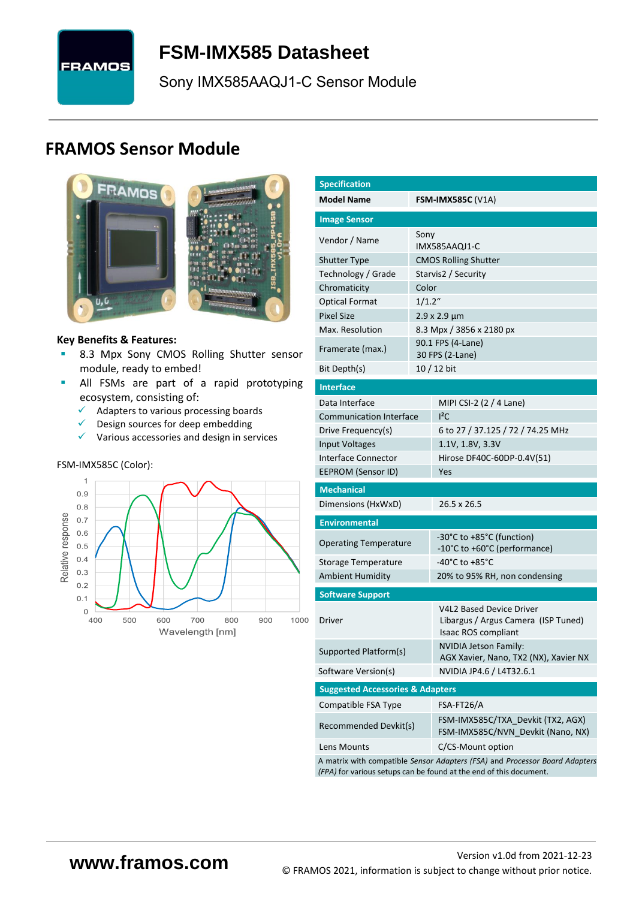

# <span id="page-0-7"></span>**FSM-IMX585 [Datasheet](#page-0-0)**

<span id="page-0-3"></span><span id="page-0-0"></span>[Sony](#page-0-1) [IMX585AAQJ1-C](#page-0-2) Sensor Module

# **FRAMOS Sensor Module**



#### **Key Benefits & Features:**

- **B.3 Mpx [Sony](#page-0-1) [CMOS Rolling Shutter](#page-0-5) sensor** module, ready to embed!
- **E** All FSMs are part of a rapid prototyping ecosystem, consisting of:
	- $\checkmark$  Adapters to various processing boards<br> $\checkmark$  Design sources for deen embedding
	- Design sources for deep embedding
	- ✓ Various accessories and design in services

#### FSM-IMX585C (Color):



<span id="page-0-6"></span><span id="page-0-5"></span><span id="page-0-4"></span><span id="page-0-2"></span><span id="page-0-1"></span>

| <b>Specification</b>                          |           |                                                                                                                                                   |  |  |  |  |  |
|-----------------------------------------------|-----------|---------------------------------------------------------------------------------------------------------------------------------------------------|--|--|--|--|--|
| <b>Model Name</b><br><b>FSM-IMX585C (V1A)</b> |           |                                                                                                                                                   |  |  |  |  |  |
| <b>Image Sensor</b>                           |           |                                                                                                                                                   |  |  |  |  |  |
|                                               | Sony      |                                                                                                                                                   |  |  |  |  |  |
| Vendor / Name                                 |           | IMX585AAQJ1-C                                                                                                                                     |  |  |  |  |  |
| <b>Shutter Type</b>                           |           | <b>CMOS Rolling Shutter</b>                                                                                                                       |  |  |  |  |  |
| Technology / Grade                            |           | Starvis2 / Security                                                                                                                               |  |  |  |  |  |
| Chromaticity                                  | Color     |                                                                                                                                                   |  |  |  |  |  |
| <b>Optical Format</b>                         | $1/1.2$ " |                                                                                                                                                   |  |  |  |  |  |
| <b>Pixel Size</b>                             |           | $2.9 \times 2.9 \mu m$                                                                                                                            |  |  |  |  |  |
| Max. Resolution                               |           | 8.3 Mpx / 3856 x 2180 px                                                                                                                          |  |  |  |  |  |
| Framerate (max.)                              |           | 90.1 FPS (4-Lane)<br>30 FPS (2-Lane)                                                                                                              |  |  |  |  |  |
| Bit Depth(s)                                  |           | 10 / 12 bit                                                                                                                                       |  |  |  |  |  |
| <b>Interface</b>                              |           |                                                                                                                                                   |  |  |  |  |  |
| Data Interface                                |           | MIPI CSI-2 (2 / 4 Lane)                                                                                                                           |  |  |  |  |  |
| <b>Communication Interface</b>                |           | $I^2C$                                                                                                                                            |  |  |  |  |  |
| Drive Frequency(s)                            |           | 6 to 27 / 37.125 / 72 / 74.25 MHz                                                                                                                 |  |  |  |  |  |
| <b>Input Voltages</b>                         |           | 1.1V, 1.8V, 3.3V                                                                                                                                  |  |  |  |  |  |
| Interface Connector                           |           | Hirose DF40C-60DP-0.4V(51)                                                                                                                        |  |  |  |  |  |
| <b>EEPROM (Sensor ID)</b>                     |           | Yes                                                                                                                                               |  |  |  |  |  |
| <b>Mechanical</b>                             |           |                                                                                                                                                   |  |  |  |  |  |
| Dimensions (HxWxD)                            |           | 26.5 x 26.5                                                                                                                                       |  |  |  |  |  |
| <b>Environmental</b>                          |           |                                                                                                                                                   |  |  |  |  |  |
| <b>Operating Temperature</b>                  |           | -30°C to +85°C (function)                                                                                                                         |  |  |  |  |  |
|                                               |           | -10°C to +60°C (performance)                                                                                                                      |  |  |  |  |  |
| Storage Temperature                           |           | -40°C to +85°C                                                                                                                                    |  |  |  |  |  |
| <b>Ambient Humidity</b>                       |           | 20% to 95% RH, non condensing                                                                                                                     |  |  |  |  |  |
| <b>Software Support</b>                       |           |                                                                                                                                                   |  |  |  |  |  |
| Driver                                        |           | <b>V4L2 Based Device Driver</b><br>Libargus / Argus Camera (ISP Tuned)<br><b>Isaac ROS compliant</b>                                              |  |  |  |  |  |
| Supported Platform(s)                         |           | NVIDIA Jetson Family:<br>AGX Xavier, Nano, TX2 (NX), Xavier NX                                                                                    |  |  |  |  |  |
| Software Version(s)                           |           | NVIDIA JP4.6 / L4T32.6.1                                                                                                                          |  |  |  |  |  |
| <b>Suggested Accessories &amp; Adapters</b>   |           |                                                                                                                                                   |  |  |  |  |  |
| Compatible FSA Type                           |           | FSA-FT26/A                                                                                                                                        |  |  |  |  |  |
| Recommended Devkit(s)                         |           | FSM-IMX585C/TXA Devkit (TX2, AGX)<br>FSM-IMX585C/NVN_Devkit (Nano, NX)                                                                            |  |  |  |  |  |
| Lens Mounts                                   |           | C/CS-Mount option                                                                                                                                 |  |  |  |  |  |
|                                               |           | A matrix with compatible Sensor Adapters (FSA) and Processor Board Adapters<br>(FPA) for various setups can be found at the end of this document. |  |  |  |  |  |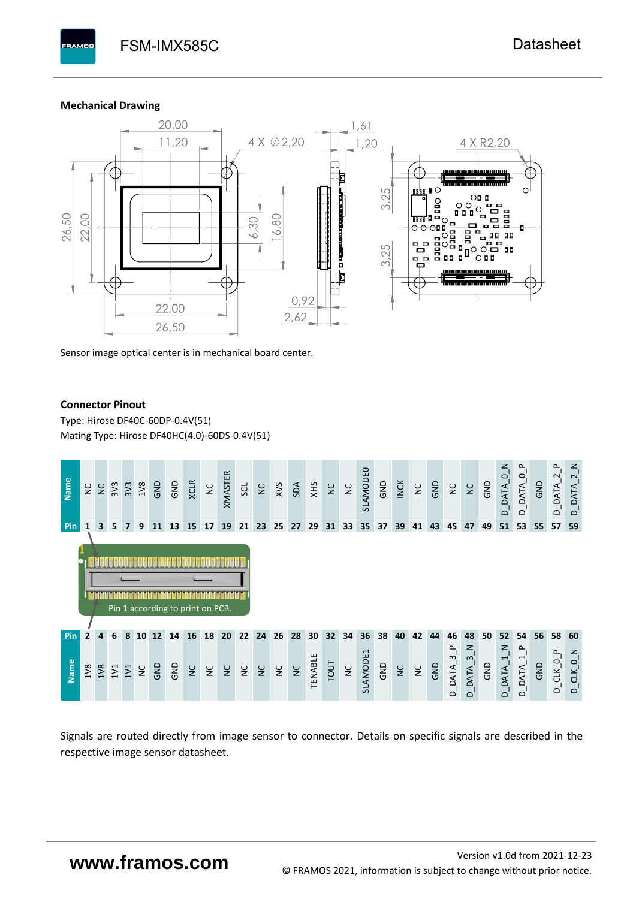#### **Mechanical Drawing**

**BAMOS** 



Sensor image optical center is in mechanical board center.

#### **Connector Pinout**

Type: [Hirose DF40C-60DP-0.4V\(51](#page-0-6)[\)](#page-0-6)  Mating Type: Hirose DF40HC(4.0)-60DS-0.4V(51)



Signals are routed directly from image sensor to connector. Details on specific signals are described in the respective image sensor datasheet.

# **www.framos.com**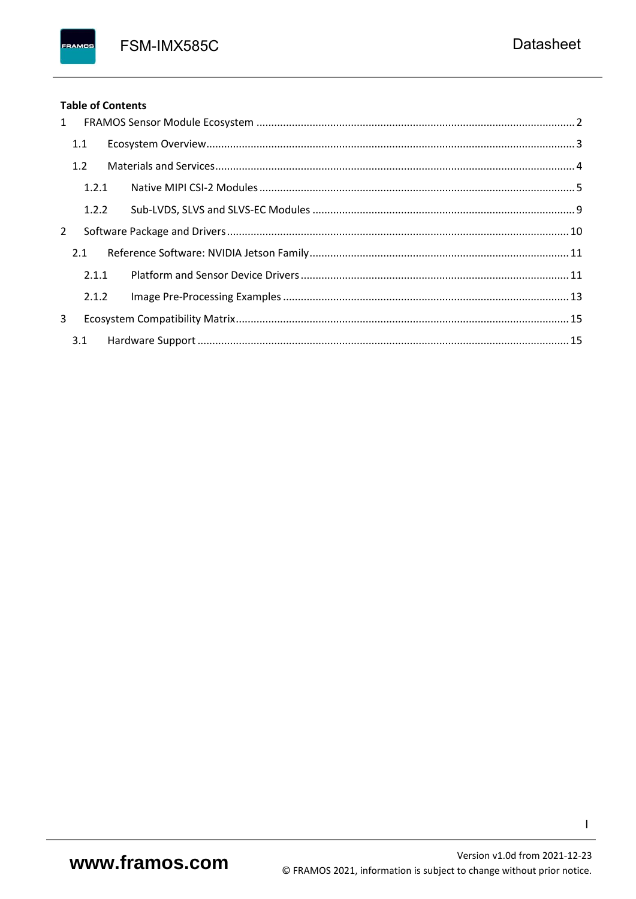FSM-IMX585C

### **Table of Contents**

FRAMOS

| 1              |       |  |
|----------------|-------|--|
|                | 1.1   |  |
|                | 1.2   |  |
|                | 1.2.1 |  |
|                | 1.2.2 |  |
| $\overline{2}$ |       |  |
|                | 2.1   |  |
|                | 2.1.1 |  |
|                | 2.1.2 |  |
| 3              |       |  |
|                | 3.1   |  |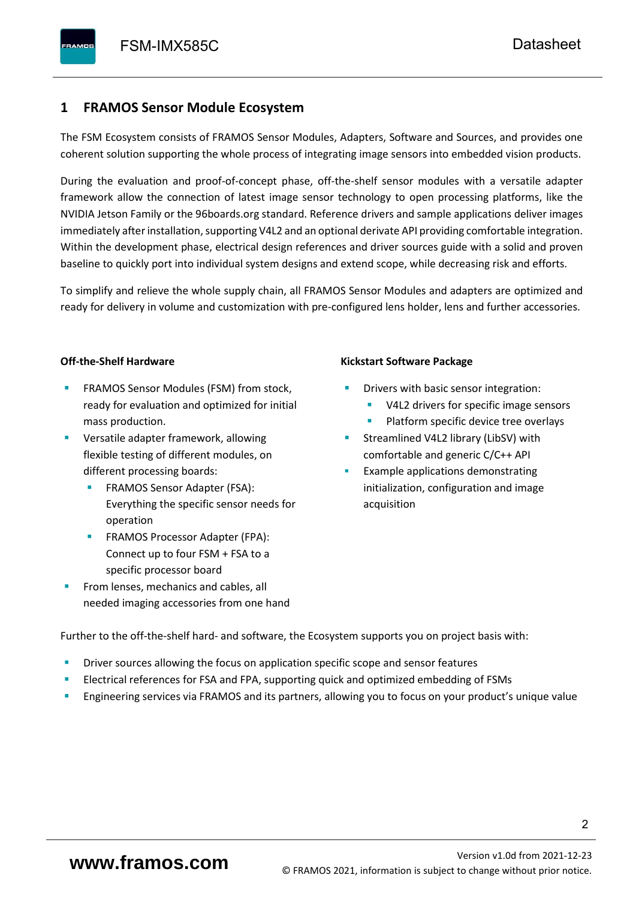## <span id="page-3-0"></span>**1 FRAMOS Sensor Module Ecosystem**

The FSM Ecosystem consists of FRAMOS Sensor Modules, Adapters, Software and Sources, and provides one coherent solution supporting the whole process of integrating image sensors into embedded vision products.

During the evaluation and proof-of-concept phase, off-the-shelf sensor modules with a versatile adapter framework allow the connection of latest image sensor technology to open processing platforms, like the NVIDIA Jetson Family or the 96boards.org standard. Reference drivers and sample applications deliver images immediately after installation, supporting V4L2 and an optional derivate API providing comfortable integration. Within the development phase, electrical design references and driver sources guide with a solid and proven baseline to quickly port into individual system designs and extend scope, while decreasing risk and efforts.

To simplify and relieve the whole supply chain, all FRAMOS Sensor Modules and adapters are optimized and ready for delivery in volume and customization with pre-configured lens holder, lens and further accessories.

#### **Off-the-Shelf Hardware**

- FRAMOS Sensor Modules (FSM) from stock, ready for evaluation and optimized for initial mass production.
- Versatile adapter framework, allowing flexible testing of different modules, on different processing boards:
	- FRAMOS Sensor Adapter (FSA): Everything the specific sensor needs for operation
	- FRAMOS Processor Adapter (FPA): Connect up to four FSM + FSA to a specific processor board
- From lenses, mechanics and cables, all needed imaging accessories from one hand

#### **Kickstart Software Package**

- Drivers with basic sensor integration:
	- V4L2 drivers for specific image sensors
	- Platform specific device tree overlays
- Streamlined V4L2 library (LibSV) with comfortable and generic C/C++ API
- Example applications demonstrating initialization, configuration and image acquisition

Further to the off-the-shelf hard- and software, the Ecosystem supports you on project basis with:

- Driver sources allowing the focus on application specific scope and sensor features
- Electrical references for FSA and FPA, supporting quick and optimized embedding of FSMs
- Engineering services via FRAMOS and its partners, allowing you to focus on your product's unique value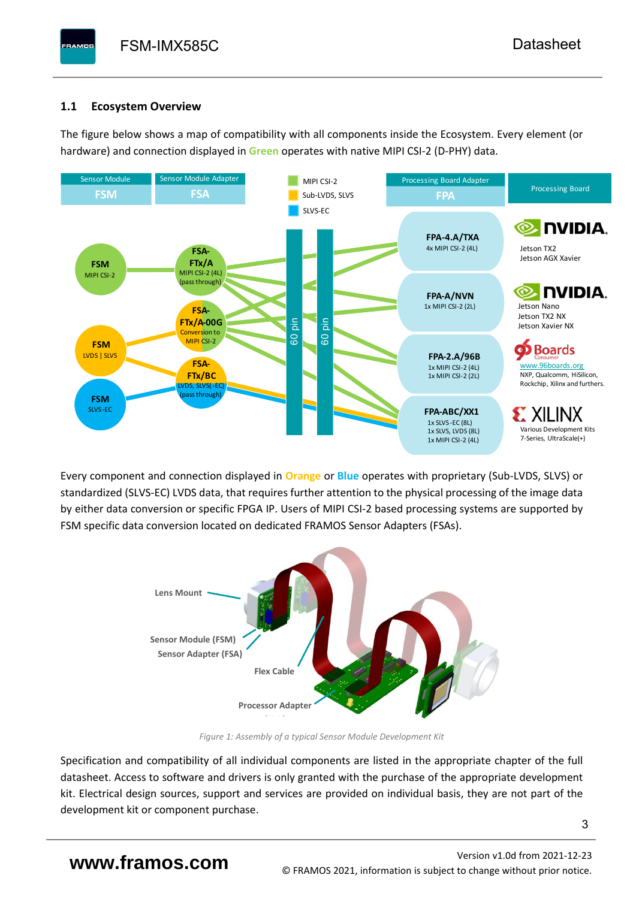# <span id="page-4-0"></span>**1.1 Ecosystem Overview**

**PAMOS** 

The figure below shows a map of compatibility with all components inside the Ecosystem. Every element (or hardware) and connection displayed in **Green** operates with native MIPI CSI-2 (D-PHY) data.



Every component and connection displayed in **Orange** or **Blue** operates with proprietary (Sub-LVDS, SLVS) or standardized (SLVS-EC) LVDS data, that requires further attention to the physical processing of the image data by either data conversion or specific FPGA IP. Users of MIPI CSI-2 based processing systems are supported by FSM specific data conversion located on dedicated FRAMOS Sensor Adapters (FSAs).



*Figure 1: Assembly of a typical Sensor Module Development Kit*

Specification and compatibility of all individual components are listed in the appropriate chapter of the full datasheet. Access to software and drivers is only granted with the purchase of the appropriate development kit. Electrical design sources, support and services are provided on individual basis, they are not part of the development kit or component purchase.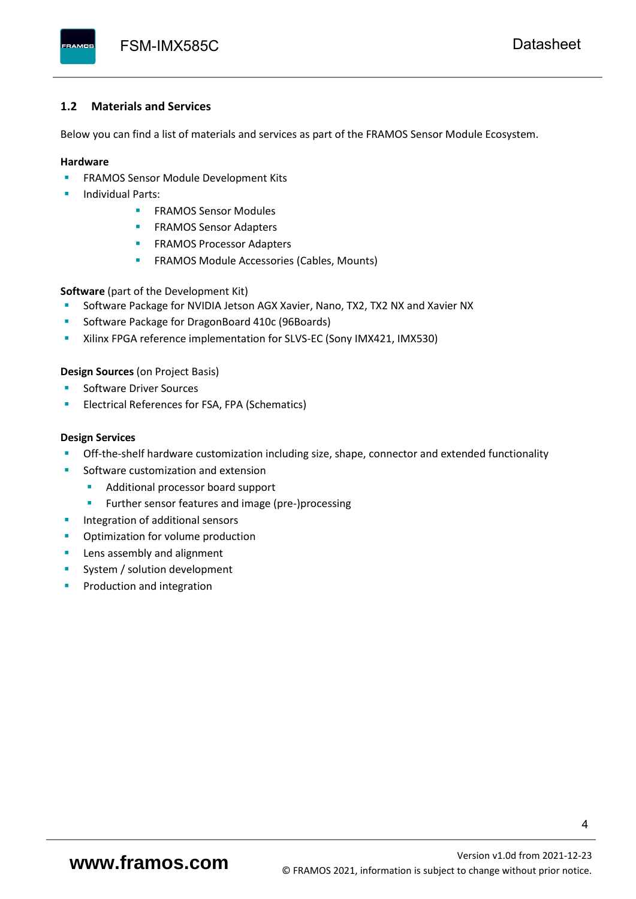#### <span id="page-5-0"></span>**1.2 Materials and Services**

Below you can find a list of materials and services as part of the FRAMOS Sensor Module Ecosystem.

#### **Hardware**

- **EXECTED FRAMOS Sensor Module Development Kits**
- **Individual Parts:** 
	- FRAMOS Sensor Modules
	- **FRAMOS Sensor Adapters**
	- **EXAMOS Processor Adapters**
	- **EXECTED** FRAMOS Module Accessories (Cables, Mounts)

**Software** (part of the Development Kit)

- Software Package for NVIDIA Jetson AGX Xavier, Nano, TX2, TX2 NX and Xavier NX
- Software Package for DragonBoard 410c (96Boards)
- **E** Xilinx FPGA reference implementation for SLVS-EC (Sony IMX421, IMX530)

#### **Design Sources** (on Project Basis)

- Software Driver Sources
- Electrical References for FSA, FPA (Schematics)

#### **Design Services**

- Off-the-shelf hardware customization including size, shape, connector and extended functionality
- Software customization and extension
	- Additional processor board support
	- Further sensor features and image (pre-)processing
- **■** Integration of additional sensors
- Optimization for volume production
- Lens assembly and alignment
- System / solution development
- Production and integration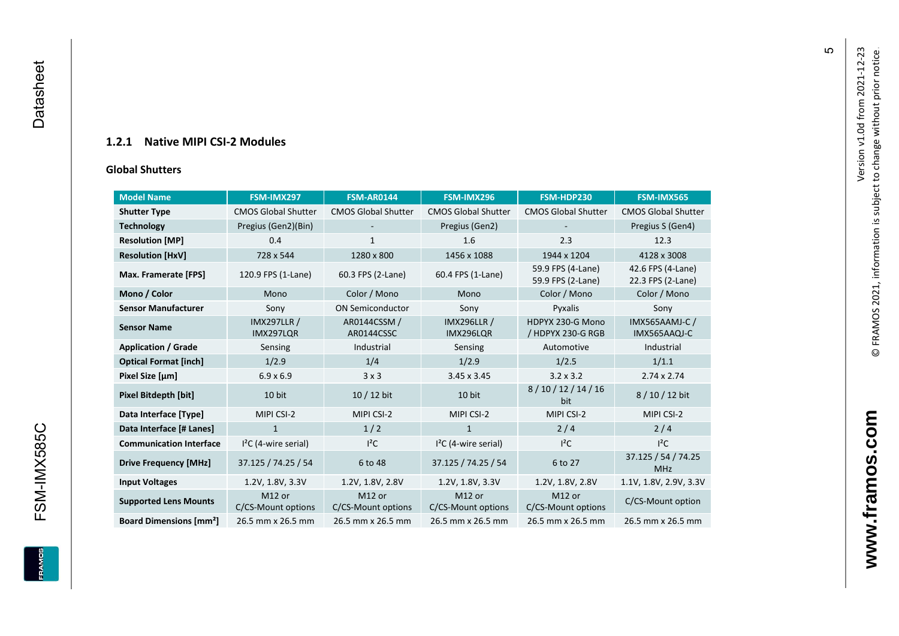### **1.2.1 Native MIPI CSI - 2 Modules**

#### **[Global Shu](#page-0-7)tters**

<span id="page-6-0"></span>

| <b>Model Name</b>                        | FSM-IMX297                      | <b>FSM-AR0144</b>            | FSM-IMX296                      | FSM-HDP230                             | <b>FSM-IMX565</b>                      |
|------------------------------------------|---------------------------------|------------------------------|---------------------------------|----------------------------------------|----------------------------------------|
| <b>Shutter Type</b>                      | <b>CMOS Global Shutter</b>      | <b>CMOS Global Shutter</b>   | <b>CMOS Global Shutter</b>      | <b>CMOS Global Shutter</b>             | <b>CMOS Global Shutter</b>             |
| <b>Technology</b>                        | Pregius (Gen2)(Bin)             |                              | Pregius (Gen2)                  |                                        | Pregius S (Gen4)                       |
| <b>Resolution [MP]</b>                   | 0.4                             | 1                            | 1.6                             | 2.3                                    | 12.3                                   |
| <b>Resolution [HxV]</b>                  | 728 x 544                       | 1280 x 800                   | 1456 x 1088                     | 1944 x 1204                            | 4128 x 3008                            |
| Max. Framerate [FPS]                     | 120.9 FPS (1-Lane)              | 60.3 FPS (2-Lane)            | 60.4 FPS (1-Lane)               | 59.9 FPS (4-Lane)<br>59.9 FPS (2-Lane) | 42.6 FPS (4-Lane)<br>22.3 FPS (2-Lane) |
| Mono / Color                             | Mono                            | Color / Mono                 | Mono                            | Color / Mono                           | Color / Mono                           |
| <b>Sensor Manufacturer</b>               | Sony                            | <b>ON Semiconductor</b>      | Sony                            | Pyxalis                                | Sony                                   |
| <b>Sensor Name</b>                       | <b>IMX297LLR /</b><br>IMX297LQR | AR0144CSSM /<br>AR0144CSSC   | <b>IMX296LLR /</b><br>IMX296LQR | HDPYX 230-G Mono<br>/ HDPYX 230-G RGB  | IMX565AAMJ-C /<br>IMX565AAQJ-C         |
| <b>Application / Grade</b>               | Sensing                         | Industrial                   | Sensing                         | Automotive                             | Industrial                             |
| <b>Optical Format [inch]</b>             | 1/2.9                           | 1/4                          | 1/2.9                           | 1/2.5                                  | 1/1.1                                  |
| Pixel Size [µm]                          | $6.9 \times 6.9$                | 3x3                          | 3.45 x 3.45                     | $3.2 \times 3.2$                       | $2.74 \times 2.74$                     |
| <b>Pixel Bitdepth [bit]</b>              | 10 bit                          | 10 / 12 bit                  | 10 bit                          | 8/10/12/14/16<br>bit                   | 8/10/12 bit                            |
| Data Interface [Type]                    | MIPI CSI-2                      | MIPI CSI-2                   | MIPI CSI-2                      | MIPI CSI-2                             | MIPI CSI-2                             |
| Data Interface [# Lanes]                 | $\mathbf{1}$                    | 1/2                          | $\mathbf{1}$                    | 2/4                                    | 2/4                                    |
| <b>Communication Interface</b>           | $I2C$ (4-wire serial)           | $l^2C$                       | $I2C$ (4-wire serial)           | $l^2C$                                 | $I^2C$                                 |
| <b>Drive Frequency [MHz]</b>             | 37.125 / 74.25 / 54             | 6 to 48                      | 37.125 / 74.25 / 54             | 6 to 27                                | 37.125 / 54 / 74.25<br><b>MHz</b>      |
| <b>Input Voltages</b>                    | 1.2V, 1.8V, 3.3V                | 1.2V, 1.8V, 2.8V             | 1.2V, 1.8V, 3.3V                | 1.2V, 1.8V, 2.8V                       | 1.1V, 1.8V, 2.9V, 3.3V                 |
| <b>Supported Lens Mounts</b>             | M12 or<br>C/CS-Mount options    | M12 or<br>C/CS-Mount options | M12 or<br>C/CS-Mount options    | M12 or<br>C/CS-Mount options           | C/CS-Mount option                      |
| <b>Board Dimensions [mm<sup>2</sup>]</b> | 26.5 mm x 26.5 mm               | 26.5 mm x 26.5 mm            | 26.5 mm x 26.5 mm               | 26.5 mm x 26.5 mm                      | 26.5 mm x 26.5 mm                      |

**www.framos.com**

www.framos.com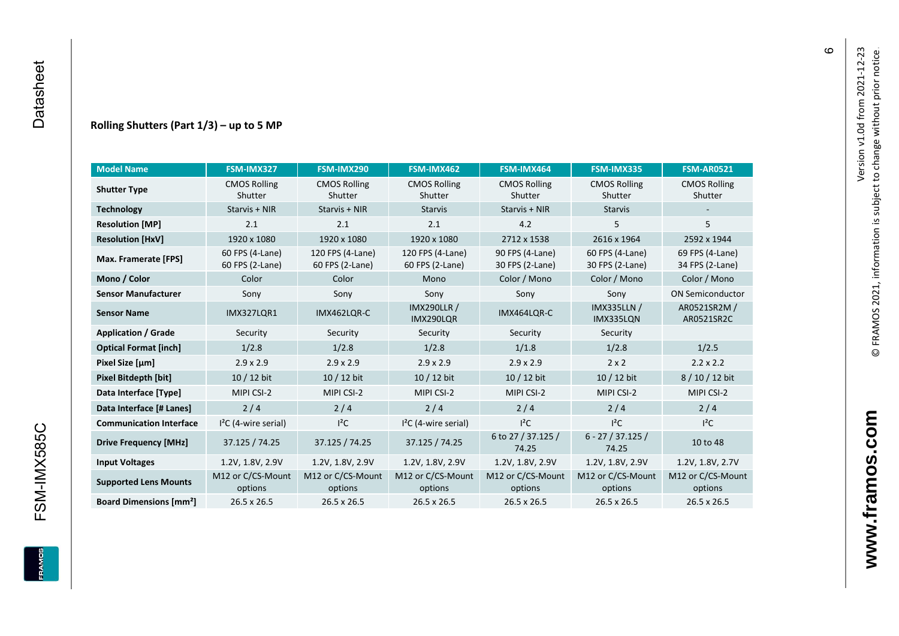#### **Rolling Shutters (Part 1/ 3 ) – up to 5 MP**

| <b>Model Name</b>                        | FSM-IMX327                         | FSM-IMX290                          | FSM-IMX462                                     | FSM-IMX464                                                               | FSM-IMX335                      | <b>FSM-AR0521</b>                  |
|------------------------------------------|------------------------------------|-------------------------------------|------------------------------------------------|--------------------------------------------------------------------------|---------------------------------|------------------------------------|
| <b>Shutter Type</b>                      | <b>CMOS Rolling</b><br>Shutter     | <b>CMOS Rolling</b><br>Shutter      | <b>CMOS Rolling</b><br>Shutter                 | <b>CMOS Rolling</b><br>Shutter                                           | <b>CMOS Rolling</b><br>Shutter  | <b>CMOS Rolling</b><br>Shutter     |
| <b>Technology</b>                        | Starvis + NIR                      | Starvis + NIR                       | <b>Starvis</b>                                 | Starvis + NIR                                                            | <b>Starvis</b>                  |                                    |
| <b>Resolution [MP]</b>                   | 2.1                                | 2.1                                 | 2.1                                            | 4.2                                                                      | 5                               | 5                                  |
| <b>Resolution [HxV]</b>                  | 1920 x 1080                        | 1920 x 1080                         | 1920 x 1080                                    | 2712 x 1538                                                              | 2616 x 1964                     | 2592 x 1944                        |
| Max. Framerate [FPS]                     | 60 FPS (4-Lane)<br>60 FPS (2-Lane) | 120 FPS (4-Lane)<br>60 FPS (2-Lane) | 120 FPS (4-Lane)<br>60 FPS (2-Lane)            | 90 FPS (4-Lane)<br>60 FPS (4-Lane)<br>30 FPS (2-Lane)<br>30 FPS (2-Lane) |                                 | 69 FPS (4-Lane)<br>34 FPS (2-Lane) |
| Mono / Color                             | Color                              | Color                               | Mono                                           | Color / Mono                                                             | Color / Mono                    | Color / Mono                       |
| <b>Sensor Manufacturer</b>               | Sony                               | Sony                                | Sony                                           | Sony                                                                     | Sony                            | <b>ON Semiconductor</b>            |
| <b>Sensor Name</b>                       | <b>IMX327LOR1</b>                  | IMX462LOR-C                         | <b>IMX290LLR /</b><br>IMX464LQR-C<br>IMX290LQR |                                                                          | <b>IMX335LLN /</b><br>IMX335LQN | AR0521SR2M /<br>AR0521SR2C         |
| <b>Application / Grade</b>               | Security                           | Security                            | Security                                       | Security                                                                 | Security                        |                                    |
| <b>Optical Format [inch]</b>             | 1/2.8                              | 1/2.8                               | 1/2.8                                          | 1/1.8                                                                    | 1/2.8                           | 1/2.5                              |
| Pixel Size [µm]                          | $2.9 \times 2.9$                   | $2.9 \times 2.9$                    | $2.9 \times 2.9$<br>$2.9 \times 2.9$           |                                                                          | $2 \times 2$                    | $2.2 \times 2.2$                   |
| <b>Pixel Bitdepth [bit]</b>              | 10 / 12 bit                        | 10 / 12 bit                         | 10 / 12 bit                                    | 10 / 12 bit                                                              | 10 / 12 bit                     | 8/10/12 bit                        |
| Data Interface [Type]                    | MIPI CSI-2                         | MIPI CSI-2                          | MIPI CSI-2                                     | MIPI CSI-2                                                               | MIPI CSI-2                      | MIPI CSI-2                         |
| Data Interface [# Lanes]                 | 2/4                                | 2/4                                 | 2/4                                            | 2/4                                                                      | 2/4                             | 2/4                                |
| <b>Communication Interface</b>           | $I2C$ (4-wire serial)              | $l^2C$                              | $I2C$ (4-wire serial)                          | $I^2C$                                                                   | $l^2C$                          | $l^2C$                             |
| <b>Drive Frequency [MHz]</b>             | 37.125 / 74.25<br>37.125 / 74.25   |                                     | 37.125 / 74.25                                 | 6 to 27 / 37.125 /<br>74.25                                              | $6 - 27 / 37.125 /$<br>74.25    | 10 to 48                           |
| <b>Input Voltages</b>                    | 1.2V, 1.8V, 2.9V                   | 1.2V, 1.8V, 2.9V                    | 1.2V, 1.8V, 2.9V                               | 1.2V, 1.8V, 2.9V                                                         | 1.2V, 1.8V, 2.9V                | 1.2V, 1.8V, 2.7V                   |
| <b>Supported Lens Mounts</b>             | M12 or C/CS-Mount<br>options       | M12 or C/CS-Mount<br>options        | M12 or C/CS-Mount<br>options                   | M12 or C/CS-Mount<br>options                                             | M12 or C/CS-Mount<br>options    | M12 or C/CS-Mount<br>options       |
| <b>Board Dimensions [mm<sup>2</sup>]</b> | $26.5 \times 26.5$                 | $26.5 \times 26.5$                  | 26.5 x 26.5                                    | $26.5 \times 26.5$                                                       | 26.5 x 26.5                     | 26.5 x 26.5                        |

 $\pmb{\circ}$ 

**www.framos.com**

www.framos.com

**FRAMOS**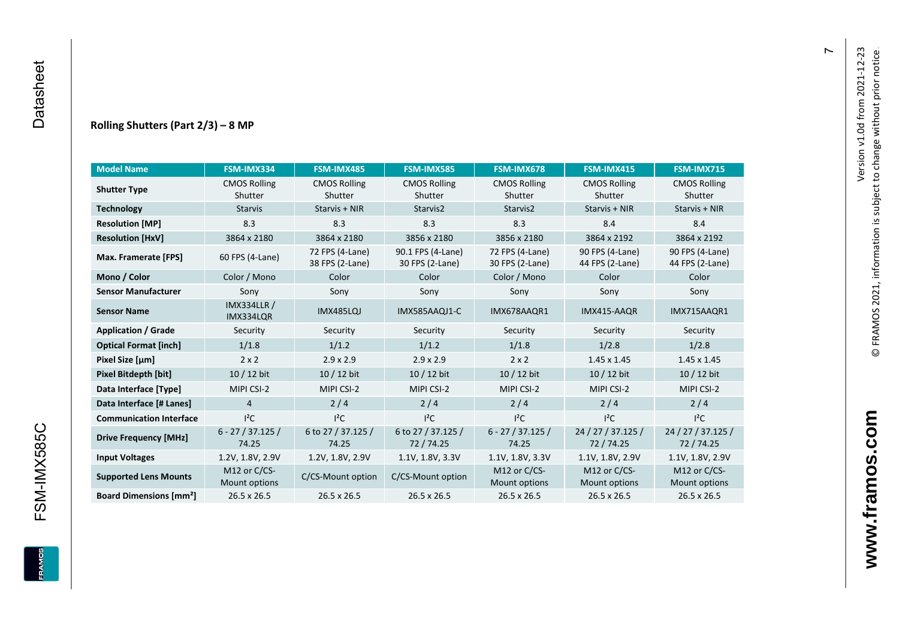#### **Rolling Shutters (Part 2/ 3 ) – 8 MP**

| <b>Model Name</b>                        | FSM-IMX334                      | FSM-IMX485                         | <b>FSM-IMX585</b>                    | FSM-IMX678                         | <b>FSM-IMX415</b>                  | <b>FSM-IMX715</b>                  |
|------------------------------------------|---------------------------------|------------------------------------|--------------------------------------|------------------------------------|------------------------------------|------------------------------------|
| <b>Shutter Type</b>                      | <b>CMOS Rolling</b><br>Shutter  | <b>CMOS Rolling</b><br>Shutter     | <b>CMOS Rolling</b><br>Shutter       | <b>CMOS Rolling</b><br>Shutter     | <b>CMOS Rolling</b><br>Shutter     | <b>CMOS Rolling</b><br>Shutter     |
| <b>Technology</b>                        | <b>Starvis</b>                  | Starvis + NIR                      | Starvis2                             | Starvis2                           | Starvis + NIR                      | Starvis + NIR                      |
| <b>Resolution [MP]</b>                   | 8.3                             | 8.3                                | 8.3                                  | 8.3                                | 8.4                                | 8.4                                |
| <b>Resolution [HxV]</b>                  | 3864 x 2180                     | 3864 x 2180                        | 3856 x 2180                          | 3856 x 2180                        | 3864 x 2192                        | 3864 x 2192                        |
| Max. Framerate [FPS]                     | 60 FPS (4-Lane)                 | 72 FPS (4-Lane)<br>38 FPS (2-Lane) | 90.1 FPS (4-Lane)<br>30 FPS (2-Lane) | 72 FPS (4-Lane)<br>30 FPS (2-Lane) | 90 FPS (4-Lane)<br>44 FPS (2-Lane) | 90 FPS (4-Lane)<br>44 FPS (2-Lane) |
| Mono / Color                             | Color / Mono                    | Color                              | Color                                | Color / Mono                       | Color                              | Color                              |
| <b>Sensor Manufacturer</b>               | Sony                            | Sony                               | Sony                                 | Sony                               | Sony                               | Sony                               |
| <b>Sensor Name</b>                       | <b>IMX334LLR /</b><br>IMX334LQR | <b>IMX485LQJ</b>                   | IMX585AAQJ1-C                        | IMX678AAQR1                        | IMX415-AAQR                        | IMX715AAQR1                        |
| <b>Application / Grade</b>               | Security                        | Security                           | Security                             | Security                           | Security                           | Security                           |
| <b>Optical Format [inch]</b>             | 1/1.8                           | 1/1.2                              | 1/1.2                                | 1/1.8                              |                                    | 1/2.8                              |
| Pixel Size [µm]                          | $2 \times 2$                    | $2.9 \times 2.9$                   | $2.9 \times 2.9$                     | $2 \times 2$                       | $1.45 \times 1.45$                 | $1.45 \times 1.45$                 |
| <b>Pixel Bitdepth [bit]</b>              | 10 / 12 bit                     | 10 / 12 bit                        | 10 / 12 bit                          | $10/12$ bit                        | 10 / 12 bit                        | $10/12$ bit                        |
| Data Interface [Type]                    | MIPI CSI-2                      | MIPI CSI-2                         | MIPI CSI-2                           | MIPI CSI-2                         | MIPI CSI-2                         | MIPI CSI-2                         |
| Data Interface [# Lanes]                 | $\overline{4}$                  | 2/4                                | 2/4                                  | 2/4                                | 2/4                                | 2/4                                |
| <b>Communication Interface</b>           | $I^2C$                          | $I^2C$                             | $I^2C$                               | $I^2C$                             | $I^2C$                             | $I^2C$                             |
| <b>Drive Frequency [MHz]</b>             | $6 - 27 / 37.125 /$<br>74.25    | 6 to 27 / 37.125 /<br>74.25        | 6 to 27 / 37.125 /<br>72/74.25       | $6 - 27 / 37.125 /$<br>74.25       | 24 / 27 / 37.125 /<br>72 / 74.25   | 24 / 27 / 37.125 /<br>72 / 74.25   |
| <b>Input Voltages</b>                    | 1.2V, 1.8V, 2.9V                | 1.2V, 1.8V, 2.9V                   | 1.1V, 1.8V, 3.3V                     | 1.1V, 1.8V, 3.3V                   | 1.1V, 1.8V, 2.9V                   | 1.1V, 1.8V, 2.9V                   |
| <b>Supported Lens Mounts</b>             | M12 or C/CS-<br>Mount options   | C/CS-Mount option                  | C/CS-Mount option                    | M12 or C/CS-<br>Mount options      | M12 or C/CS-<br>Mount options      | M12 or C/CS-<br>Mount options      |
| <b>Board Dimensions [mm<sup>2</sup>]</b> | 26.5 x 26.5                     | $26.5 \times 26.5$                 | 26.5 x 26.5                          | $26.5 \times 26.5$                 | 26.5 x 26.5                        | 26.5 x 26.5                        |

 $\overline{r}$ 

FSM-IMX585C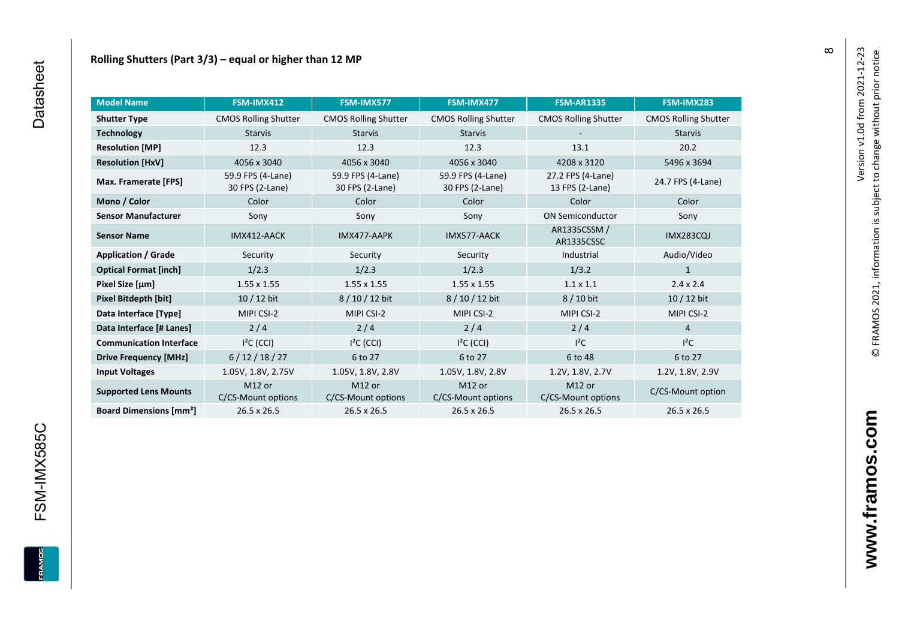| <b>Model Name</b>                        | FSM-IMX412                               | FSM-IMX577                               | FSM-IMX477                               | <b>FSM-AR1335</b>            | FSM-IMX283                  |
|------------------------------------------|------------------------------------------|------------------------------------------|------------------------------------------|------------------------------|-----------------------------|
| <b>Shutter Type</b>                      | <b>CMOS Rolling Shutter</b>              | <b>CMOS Rolling Shutter</b>              | <b>CMOS Rolling Shutter</b>              | <b>CMOS Rolling Shutter</b>  | <b>CMOS Rolling Shutter</b> |
| <b>Technology</b>                        | <b>Starvis</b><br><b>Starvis</b>         |                                          | <b>Starvis</b>                           |                              | <b>Starvis</b>              |
| <b>Resolution [MP]</b>                   | 12.3                                     | 12.3                                     | 12.3                                     | 13.1                         | 20.2                        |
| <b>Resolution [HxV]</b>                  | 4056 x 3040                              | 4056 x 3040                              | 4056 x 3040                              | 4208 x 3120                  | 5496 x 3694                 |
| Max. Framerate [FPS]                     | 59.9 FPS (4-Lane)<br>30 FPS (2-Lane)     | 59.9 FPS (4-Lane)<br>30 FPS (2-Lane)     | 59.9 FPS (4-Lane)<br>30 FPS (2-Lane)     |                              | 24.7 FPS (4-Lane)           |
| Mono / Color                             | Color                                    | Color                                    | Color                                    | Color                        | Color                       |
| <b>Sensor Manufacturer</b>               | Sony                                     | Sony                                     | Sony                                     | <b>ON Semiconductor</b>      | Sony                        |
| <b>Sensor Name</b>                       | IMX412-AACK                              | IMX477-AAPK                              | IMX577-AACK                              | AR1335CSSM /<br>AR1335CSSC   | <b>IMX283CQJ</b>            |
| <b>Application / Grade</b>               | Security                                 | Security                                 | Security                                 | Industrial                   | Audio/Video                 |
| <b>Optical Format [inch]</b>             | 1/2.3                                    | 1/2.3                                    | 1/2.3                                    | 1/3.2                        | $\mathbf{1}$                |
| Pixel Size [µm]                          | $1.55 \times 1.55$                       | $1.55 \times 1.55$                       | $1.55 \times 1.55$                       | $1.1 \times 1.1$             | $2.4 \times 2.4$            |
| Pixel Bitdepth [bit]                     | $10/12$ bit                              | 8/10/12 bit                              | 8 / 10 / 12 bit                          | 8 / 10 bit                   | 10 / 12 bit                 |
| Data Interface [Type]                    | MIPI CSI-2                               | MIPI CSI-2                               | MIPI CSI-2                               | MIPI CSI-2                   | MIPI CSI-2                  |
| Data Interface [# Lanes]                 | 2/4                                      | 2/4                                      | 2/4                                      | 2/4                          | $\overline{4}$              |
| <b>Communication Interface</b>           | $I2C$ (CCI)                              | $I2C$ (CCI)                              | $I2C$ (CCI)                              | $l^2C$                       | $l^2C$                      |
| <b>Drive Frequency [MHz]</b>             | 6/12/18/27                               | 6 to 27                                  | 6 to 27                                  | 6 to 48                      | 6 to 27                     |
| <b>Input Voltages</b>                    | 1.05V, 1.8V, 2.75V                       | 1.05V, 1.8V, 2.8V                        | 1.05V, 1.8V, 2.8V                        | 1.2V, 1.8V, 2.7V             | 1.2V, 1.8V, 2.9V            |
| <b>Supported Lens Mounts</b>             | M <sub>12</sub> or<br>C/CS-Mount options | M <sub>12</sub> or<br>C/CS-Mount options | M <sub>12</sub> or<br>C/CS-Mount options | M12 or<br>C/CS-Mount options | C/CS-Mount option           |
| <b>Board Dimensions [mm<sup>2</sup>]</b> | 26.5 x 26.5                              | 26.5 x 26.5                              | 26.5 x 26.5                              | 26.5 x 26.5                  | 26.5 x 26.5                 |

FSM-IMX585C

Version v1.0d from 2021-12-23

© FRAMOS 2021, information i[s su](mailto:sales@framos.de)bject to change without prior notice.

Version v1.0d from 2021-12-23<br>© FRAMOS 2021, information is subject to change without prior notice.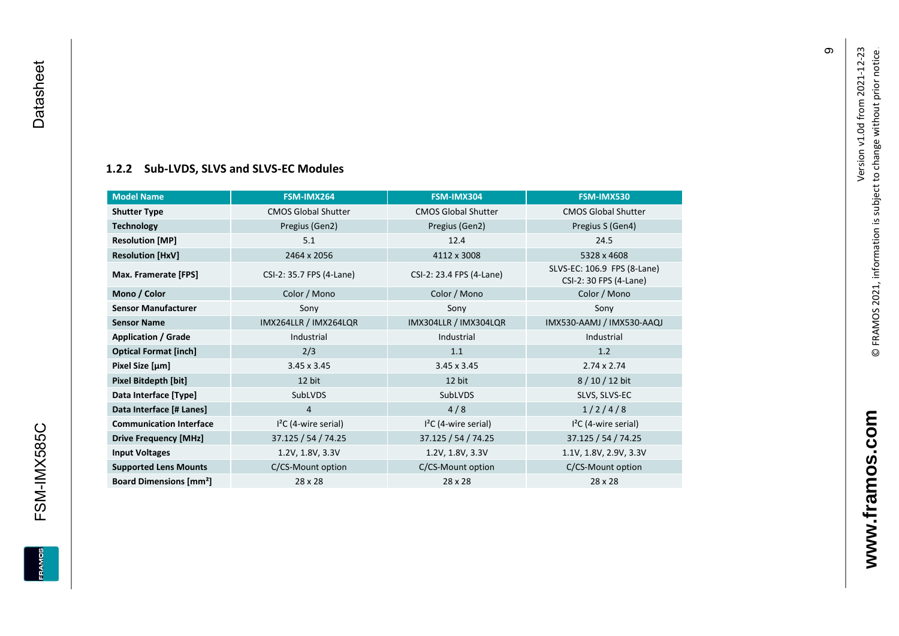#### **[1.2.2](#page-0-7) Sub -LVDS, SLVS and SLVS -EC Modules**

<span id="page-10-0"></span>

| <b>Model Name</b>                        | FSM-IMX264                 | FSM-IMX304                 | FSM-IMX530                                            |
|------------------------------------------|----------------------------|----------------------------|-------------------------------------------------------|
| <b>Shutter Type</b>                      | <b>CMOS Global Shutter</b> | <b>CMOS Global Shutter</b> | <b>CMOS Global Shutter</b>                            |
| <b>Technology</b>                        | Pregius (Gen2)             | Pregius (Gen2)             | Pregius S (Gen4)                                      |
| <b>Resolution [MP]</b>                   | 5.1                        | 12.4                       | 24.5                                                  |
| <b>Resolution [HxV]</b>                  | 2464 x 2056                | 4112 x 3008                | 5328 x 4608                                           |
| Max. Framerate [FPS]                     | CSI-2: 35.7 FPS (4-Lane)   | CSI-2: 23.4 FPS (4-Lane)   | SLVS-EC: 106.9 FPS (8-Lane)<br>CSI-2: 30 FPS (4-Lane) |
| Mono / Color                             | Color / Mono               | Color / Mono               | Color / Mono                                          |
| <b>Sensor Manufacturer</b>               | Sony                       | Sony                       | Sony                                                  |
| <b>Sensor Name</b>                       | IMX264LLR / IMX264LQR      | IMX304LLR / IMX304LQR      | IMX530-AAMJ / IMX530-AAQJ                             |
| <b>Application / Grade</b>               | Industrial                 | Industrial                 | Industrial                                            |
| <b>Optical Format [inch]</b>             | 2/3                        | 1.1                        | 1.2                                                   |
| Pixel Size [µm]                          | $3.45 \times 3.45$         | $3.45 \times 3.45$         | $2.74 \times 2.74$                                    |
| Pixel Bitdepth [bit]                     | 12 bit                     | 12 bit                     | $8/10/12$ bit                                         |
| Data Interface [Type]                    | SubLVDS                    | SubLVDS                    | SLVS, SLVS-EC                                         |
| Data Interface [# Lanes]                 | 4                          | 4/8                        | 1/2/4/8                                               |
| <b>Communication Interface</b>           | $I2C$ (4-wire serial)      | $I2C$ (4-wire serial)      | $I2C$ (4-wire serial)                                 |
| <b>Drive Frequency [MHz]</b>             | 37.125 / 54 / 74.25        | 37.125 / 54 / 74.25        | 37.125 / 54 / 74.25                                   |
| <b>Input Voltages</b>                    | 1.2V, 1.8V, 3.3V           | 1.2V, 1.8V, 3.3V           | 1.1V, 1.8V, 2.9V, 3.3V                                |
| <b>Supported Lens Mounts</b>             | C/CS-Mount option          | C/CS-Mount option          | C/CS-Mount option                                     |
| <b>Board Dimensions [mm<sup>2</sup>]</b> | 28 x 28                    | 28 x 28                    | 28 x 28                                               |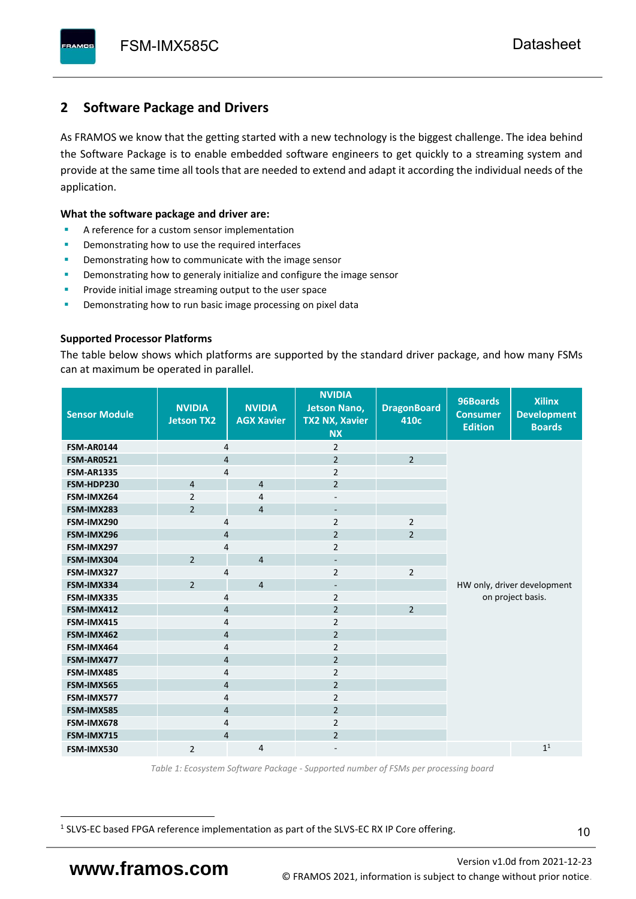# <span id="page-11-0"></span>**2 Software Package and Drivers**

As FRAMOS we know that the getting started with a new technology is the biggest challenge. The idea behind the Software Package is to enable embedded software engineers to get quickly to a streaming system and provide at the same time all tools that are needed to extend and adapt it according the individual needs of the application.

#### **What the software package and driver are:**

- A reference for a custom sensor implementation
- Demonstrating how to use the required interfaces
- Demonstrating how to communicate with the image sensor
- Demonstrating how to generaly initialize and configure the image sensor
- Provide initial image streaming output to the user space
- Demonstrating how to run basic image processing on pixel data

#### **Supported Processor Platforms**

The table below shows which platforms are supported by the standard driver package, and how many FSMs can at maximum be operated in parallel.

| <b>Sensor Module</b> | <b>NVIDIA</b><br><b>Jetson TX2</b> | <b>NVIDIA</b><br><b>AGX Xavier</b> | <b>NVIDIA</b><br><b>Jetson Nano,</b><br><b>TX2 NX, Xavier</b><br><b>NX</b> | <b>DragonBoard</b><br>410c | 96Boards<br><b>Consumer</b><br><b>Edition</b> | <b>Xilinx</b><br><b>Development</b><br><b>Boards</b> |  |
|----------------------|------------------------------------|------------------------------------|----------------------------------------------------------------------------|----------------------------|-----------------------------------------------|------------------------------------------------------|--|
| <b>FSM-AR0144</b>    | 4                                  |                                    | $\overline{2}$                                                             |                            |                                               |                                                      |  |
| <b>FSM-AR0521</b>    | $\overline{4}$                     |                                    | $\overline{2}$                                                             | $\overline{2}$             |                                               |                                                      |  |
| <b>FSM-AR1335</b>    | 4                                  |                                    | $\overline{2}$                                                             |                            |                                               |                                                      |  |
| FSM-HDP230           | $\overline{4}$                     | $\overline{4}$                     | $\overline{2}$                                                             |                            |                                               |                                                      |  |
| FSM-IMX264           | $\overline{2}$                     | $\overline{4}$                     | $\overline{\phantom{a}}$                                                   |                            |                                               |                                                      |  |
| FSM-IMX283           | $\overline{2}$                     | $\overline{4}$                     | $\overline{\phantom{a}}$                                                   |                            |                                               |                                                      |  |
| FSM-IMX290           | 4                                  |                                    | $\overline{2}$                                                             | $\overline{2}$             |                                               |                                                      |  |
| FSM-IMX296           | 4                                  |                                    | $\overline{2}$                                                             | $\overline{2}$             |                                               |                                                      |  |
| FSM-IMX297           | 4                                  |                                    | $\overline{2}$                                                             |                            |                                               |                                                      |  |
| FSM-IMX304           | $\overline{2}$                     | $\overline{4}$                     | $\overline{\phantom{a}}$                                                   |                            |                                               |                                                      |  |
| FSM-IMX327           | 4                                  |                                    | $\overline{2}$                                                             | $\overline{2}$             |                                               |                                                      |  |
| FSM-IMX334           | $\overline{2}$                     | $\overline{4}$                     | $\overline{\phantom{a}}$                                                   |                            | HW only, driver development                   |                                                      |  |
| FSM-IMX335           | 4                                  |                                    | $\overline{2}$                                                             |                            | on project basis.                             |                                                      |  |
| FSM-IMX412           | $\overline{4}$                     |                                    | $\overline{2}$                                                             | $\overline{2}$             |                                               |                                                      |  |
| FSM-IMX415           | 4                                  |                                    | $\overline{2}$                                                             |                            |                                               |                                                      |  |
| FSM-IMX462           | $\overline{\mathbf{4}}$            |                                    | $\overline{2}$                                                             |                            |                                               |                                                      |  |
| FSM-IMX464           | $\overline{4}$                     |                                    | $\overline{2}$                                                             |                            |                                               |                                                      |  |
| FSM-IMX477           | $\overline{4}$                     |                                    | $\overline{2}$                                                             |                            |                                               |                                                      |  |
| FSM-IMX485           | $\overline{4}$                     |                                    | $\overline{2}$                                                             |                            |                                               |                                                      |  |
| FSM-IMX565           | $\overline{4}$                     |                                    | $\overline{2}$                                                             |                            |                                               |                                                      |  |
| FSM-IMX577           | $\overline{4}$                     |                                    | $\overline{2}$                                                             |                            |                                               |                                                      |  |
| FSM-IMX585           | $\overline{4}$                     |                                    | $\overline{2}$                                                             |                            |                                               |                                                      |  |
| FSM-IMX678           | 4                                  |                                    | $\overline{2}$                                                             |                            |                                               |                                                      |  |
| FSM-IMX715           | $\overline{4}$                     |                                    | $\overline{2}$                                                             |                            |                                               |                                                      |  |
| FSM-IMX530           | $\overline{2}$                     | $\overline{4}$                     |                                                                            |                            |                                               | 1 <sup>1</sup>                                       |  |

*Table 1: Ecosystem Software Package - Supported number of FSMs per processing board*

<sup>1</sup> SLVS-EC based FPGA reference implementation as part of the SLVS-EC RX IP Core offering.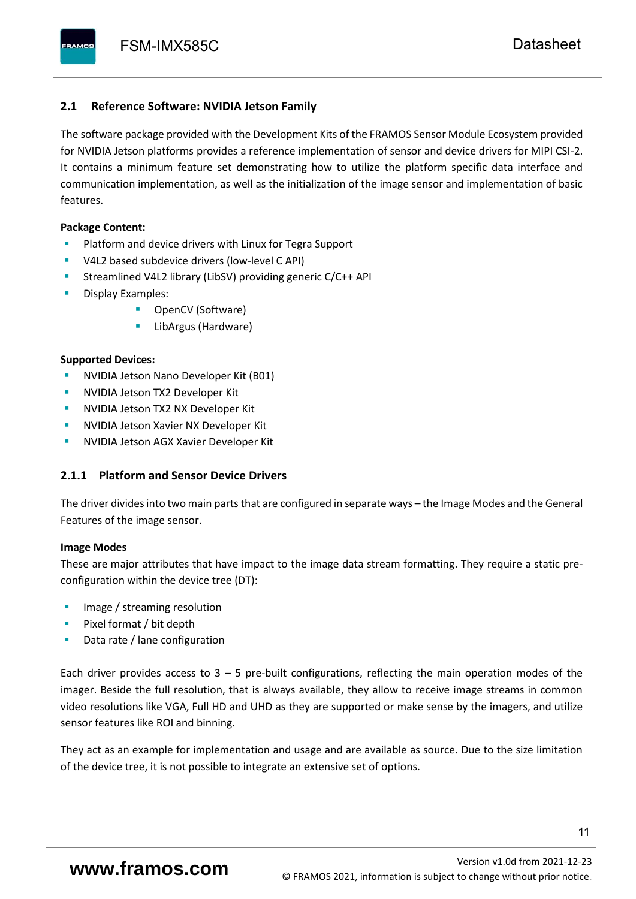#### <span id="page-12-0"></span>**2.1 Reference Software: NVIDIA Jetson Family**

The software package provided with the Development Kits of the FRAMOS Sensor Module Ecosystem provided for NVIDIA Jetson platforms provides a reference implementation of sensor and device drivers for MIPI CSI-2. It contains a minimum feature set demonstrating how to utilize the platform specific data interface and communication implementation, as well as the initialization of the image sensor and implementation of basic features.

#### **Package Content:**

- Platform and device drivers with Linux for Tegra Support
- V4L2 based subdevice drivers (low-level C API)
- Streamlined V4L2 library (LibSV) providing generic C/C++ API
- Display Examples:
	- OpenCV (Software)
	- LibArgus (Hardware)

#### **Supported Devices:**

- **NVIDIA Jetson Nano Developer Kit (B01)**
- **NVIDIA Jetson TX2 Developer Kit**
- NVIDIA Jetson TX2 NX Developer Kit
- **NVIDIA Jetson Xavier NX Developer Kit**
- **NVIDIA Jetson AGX Xavier Developer Kit**

### <span id="page-12-1"></span>**2.1.1 Platform and Sensor Device Drivers**

The driver divides into two main parts that are configured in separate ways – the Image Modes and the General Features of the image sensor.

#### **Image Modes**

These are major attributes that have impact to the image data stream formatting. They require a static preconfiguration within the device tree (DT):

- Image / streaming resolution
- Pixel format / bit depth
- Data rate / lane configuration

Each driver provides access to  $3 - 5$  pre-built configurations, reflecting the main operation modes of the imager. Beside the full resolution, that is always available, they allow to receive image streams in common video resolutions like VGA, Full HD and UHD as they are supported or make sense by the imagers, and utilize sensor features like ROI and binning.

They act as an example for implementation and usage and are available as source. Due to the size limitation of the device tree, it is not possible to integrate an extensive set of options.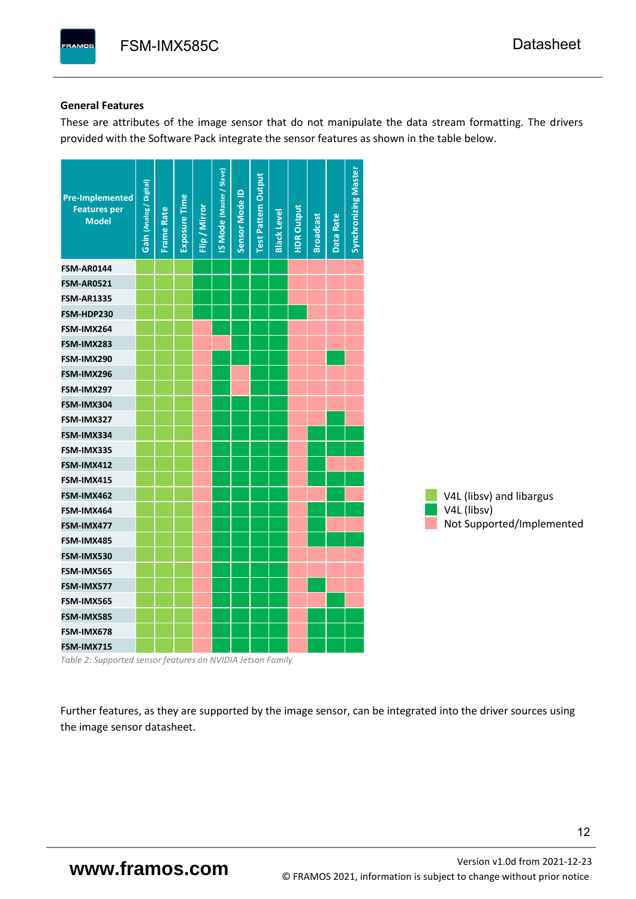#### **General Features**

These are attributes of the image sensor that do not manipulate the data stream formatting. The drivers provided with the Software Pack integrate the sensor features as shown in the table below.

| <b>Pre-Implemented</b><br><b>Features per</b><br><b>Model</b> | Gain (Analog / Digital) | <b>Frame Rate</b> | <b>Exposure Time</b> | Flip / Mirror | <b>IS Mode (Master / Slave)</b> | Sensor Mode ID | <b>Test Pattern Output</b> | <b>Black Level</b> | <b>HDR Output</b> | <b>Broadcast</b> | Data Rate | <b>Synchronizing Master</b> |                           |
|---------------------------------------------------------------|-------------------------|-------------------|----------------------|---------------|---------------------------------|----------------|----------------------------|--------------------|-------------------|------------------|-----------|-----------------------------|---------------------------|
| <b>FSM-AR0144</b>                                             |                         |                   |                      |               |                                 |                |                            |                    |                   |                  |           |                             |                           |
| <b>FSM-AR0521</b>                                             |                         |                   |                      |               |                                 |                |                            |                    |                   |                  |           |                             |                           |
| <b>FSM-AR1335</b>                                             |                         |                   |                      |               |                                 |                |                            |                    |                   |                  |           |                             |                           |
| FSM-HDP230                                                    |                         |                   |                      |               |                                 |                |                            |                    |                   |                  |           |                             |                           |
| FSM-IMX264                                                    |                         |                   |                      |               |                                 |                |                            |                    |                   |                  |           |                             |                           |
| FSM-IMX283                                                    |                         |                   |                      |               |                                 |                |                            |                    |                   |                  |           |                             |                           |
| FSM-IMX290                                                    |                         |                   |                      |               |                                 |                |                            |                    |                   |                  |           |                             |                           |
| FSM-IMX296                                                    |                         |                   |                      |               |                                 |                |                            |                    |                   |                  |           |                             |                           |
| FSM-IMX297                                                    |                         |                   |                      |               |                                 |                |                            |                    |                   |                  |           |                             |                           |
| FSM-IMX304                                                    |                         |                   |                      |               |                                 |                |                            |                    |                   |                  |           |                             |                           |
| FSM-IMX327                                                    |                         |                   |                      |               |                                 |                |                            |                    |                   |                  |           |                             |                           |
| FSM-IMX334                                                    |                         |                   |                      |               |                                 |                |                            |                    |                   |                  |           |                             |                           |
| FSM-IMX335                                                    |                         |                   |                      |               |                                 |                |                            |                    |                   |                  |           |                             |                           |
| FSM-IMX412                                                    |                         |                   |                      |               |                                 |                |                            |                    |                   |                  |           |                             |                           |
| FSM-IMX415                                                    |                         |                   |                      |               |                                 |                |                            |                    |                   |                  |           |                             |                           |
| FSM-IMX462                                                    |                         |                   |                      |               |                                 |                |                            |                    |                   |                  |           |                             | V4L (libsv) and libargus  |
| FSM-IMX464                                                    |                         |                   |                      |               |                                 |                |                            |                    |                   |                  |           |                             | V4L (libsv)               |
| FSM-IMX477                                                    |                         |                   |                      |               |                                 |                |                            |                    |                   |                  |           |                             | Not Supported/Implemented |
| FSM-IMX485                                                    |                         |                   |                      |               |                                 |                |                            |                    |                   |                  |           |                             |                           |
| FSM-IMX530                                                    |                         |                   |                      |               |                                 |                |                            |                    |                   |                  |           |                             |                           |
| FSM-IMX565                                                    |                         |                   |                      |               |                                 |                |                            |                    |                   |                  |           |                             |                           |
| FSM-IMX577                                                    |                         |                   |                      |               |                                 |                |                            |                    |                   |                  |           |                             |                           |
| FSM-IMX565                                                    |                         |                   |                      |               |                                 |                |                            |                    |                   |                  |           |                             |                           |
| FSM-IMX585                                                    |                         |                   |                      |               |                                 |                |                            |                    |                   |                  |           |                             |                           |
| FSM-IMX678                                                    |                         |                   |                      |               |                                 |                |                            |                    |                   |                  |           |                             |                           |
| FSM-IMX715                                                    |                         |                   |                      |               |                                 |                |                            |                    |                   |                  |           |                             |                           |

*Table 2: Supported sensor features on NVIDIA Jetson Family*

Further features, as they are supported by the image sensor, can be integrated into the driver sources using the image sensor datasheet.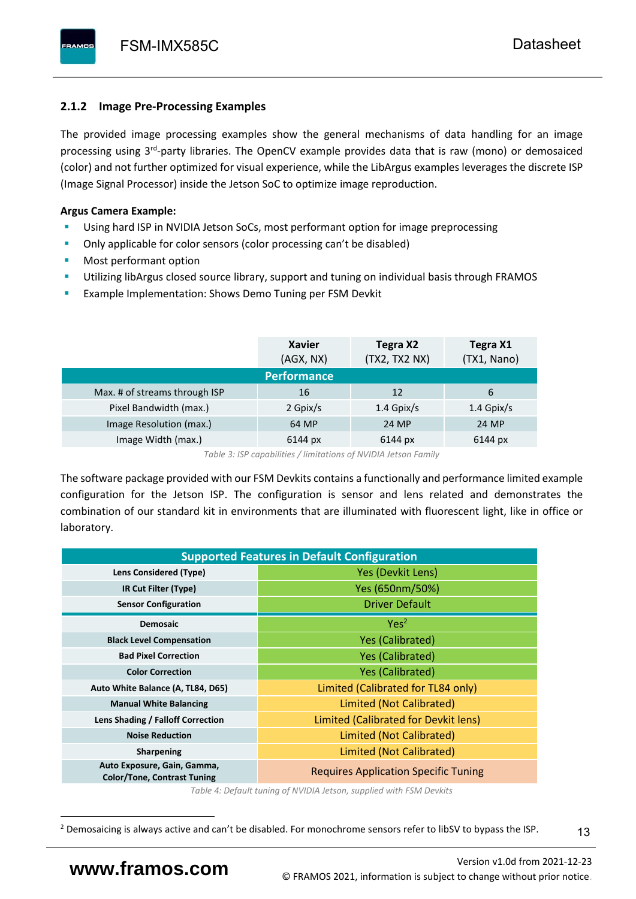# <span id="page-14-0"></span>**2.1.2 Image Pre-Processing Examples**

The provided image processing examples show the general mechanisms of data handling for an image processing using 3<sup>rd</sup>-party libraries. The OpenCV example provides data that is raw (mono) or demosaiced (color) and not further optimized for visual experience, while the LibArgus examples leverages the discrete ISP (Image Signal Processor) inside the Jetson SoC to optimize image reproduction.

## **Argus Camera Example:**

- Using hard ISP in NVIDIA Jetson SoCs, most performant option for image preprocessing
- Only applicable for color sensors (color processing can't be disabled)
- Most performant option
- Utilizing libArgus closed source library, support and tuning on individual basis through FRAMOS
- Example Implementation: Shows Demo Tuning per FSM Devkit

|                               | <b>Xavier</b><br>(AGX, NX) | Tegra X2<br>(TX2, TX2 NX) | Tegra X1<br>(TX1, Nano) |
|-------------------------------|----------------------------|---------------------------|-------------------------|
|                               | <b>Performance</b>         |                           |                         |
| Max. # of streams through ISP | 16                         | 12                        | 6                       |
| Pixel Bandwidth (max.)        | 2 Gpix/s                   | $1.4$ Gpix/s              | $1.4$ Gpix/s            |
| Image Resolution (max.)       | 64 MP                      | 24 MP                     | 24 MP                   |
| Image Width (max.)            | 6144 px                    | 6144 px                   | 6144 px                 |

*Table 3: ISP capabilities / limitations of NVIDIA Jetson Family*

The software package provided with our FSM Devkits contains a functionally and performance limited example configuration for the Jetson ISP. The configuration is sensor and lens related and demonstrates the combination of our standard kit in environments that are illuminated with fluorescent light, like in office or laboratory.

| <b>Supported Features in Default Configuration</b>                |                                             |  |  |  |  |  |  |
|-------------------------------------------------------------------|---------------------------------------------|--|--|--|--|--|--|
| Lens Considered (Type)                                            | Yes (Devkit Lens)                           |  |  |  |  |  |  |
| IR Cut Filter (Type)                                              | Yes (650nm/50%)                             |  |  |  |  |  |  |
| <b>Sensor Configuration</b>                                       | <b>Driver Default</b>                       |  |  |  |  |  |  |
| <b>Demosaic</b>                                                   | Yes <sup>2</sup>                            |  |  |  |  |  |  |
| <b>Black Level Compensation</b>                                   | <b>Yes (Calibrated)</b>                     |  |  |  |  |  |  |
| <b>Bad Pixel Correction</b>                                       | <b>Yes (Calibrated)</b>                     |  |  |  |  |  |  |
| <b>Color Correction</b>                                           | <b>Yes (Calibrated)</b>                     |  |  |  |  |  |  |
| Auto White Balance (A, TL84, D65)                                 | Limited (Calibrated for TL84 only)          |  |  |  |  |  |  |
| <b>Manual White Balancing</b>                                     | Limited (Not Calibrated)                    |  |  |  |  |  |  |
| Lens Shading / Falloff Correction                                 | Limited (Calibrated for Devkit lens)        |  |  |  |  |  |  |
| <b>Noise Reduction</b>                                            | Limited (Not Calibrated)                    |  |  |  |  |  |  |
| <b>Sharpening</b>                                                 | Limited (Not Calibrated)                    |  |  |  |  |  |  |
| Auto Exposure, Gain, Gamma,<br><b>Color/Tone, Contrast Tuning</b> | <b>Requires Application Specific Tuning</b> |  |  |  |  |  |  |

*Table 4: Default tuning of NVIDIA Jetson, supplied with FSM Devkits*

13

<sup>&</sup>lt;sup>2</sup> Demosaicing is always active and can't be disabled. For monochrome sensors refer to libSV to bypass the ISP.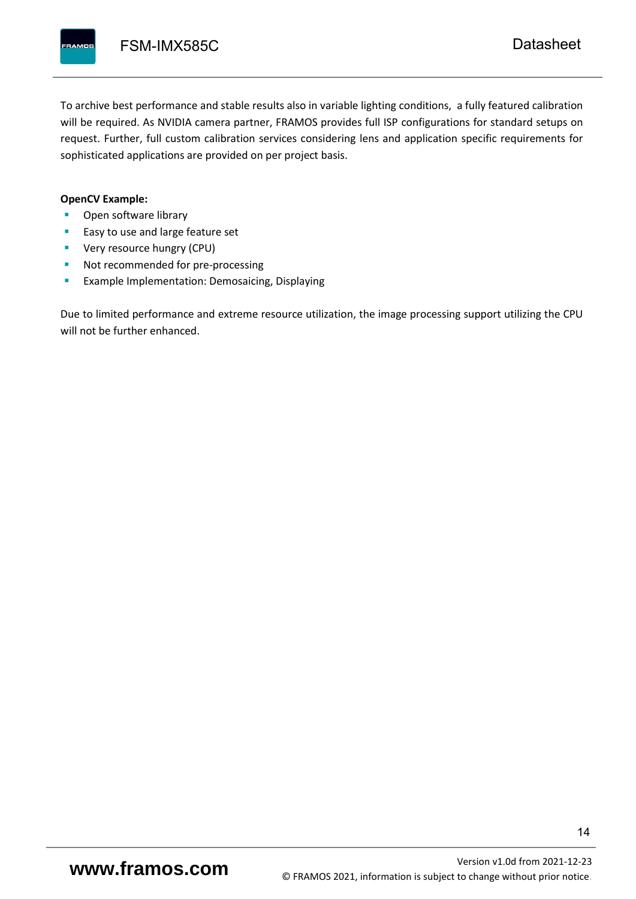To archive best performance and stable results also in variable lighting conditions, a fully featured calibration will be required. As NVIDIA camera partner, FRAMOS provides full ISP configurations for standard setups on request. Further, full custom calibration services considering lens and application specific requirements for sophisticated applications are provided on per project basis.

#### **OpenCV Example:**

- Open software library
- Easy to use and large feature set
- **•** Very resource hungry (CPU)
- Not recommended for pre-processing
- **Example Implementation: Demosaicing, Displaying**

Due to limited performance and extreme resource utilization, the image processing support utilizing the CPU will not be further enhanced.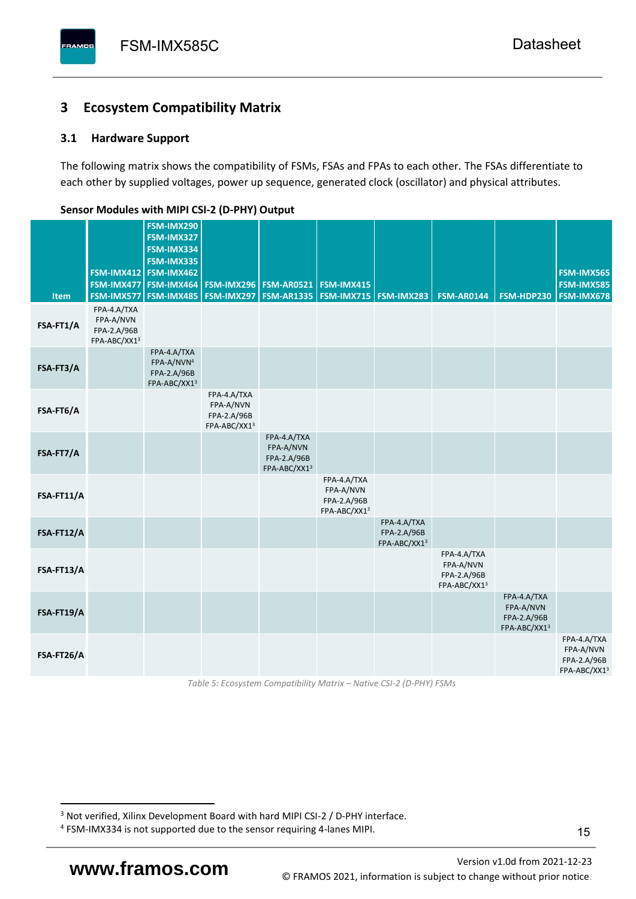# <span id="page-16-0"></span>**3 Ecosystem Compatibility Matrix**

## <span id="page-16-1"></span>**3.1 Hardware Support**

The following matrix shows the compatibility of FSMs, FSAs and FPAs to each other. The FSAs differentiate to each other by supplied voltages, power up sequence, generated clock (oscillator) and physical attributes.

| <b>Item</b> | FSM-IMX477<br>FSM-IMX577                                | FSM-IMX290<br>FSM-IMX327<br>FSM-IMX334<br>FSM-IMX335<br>FSM-IMX412 FSM-IMX462<br>FSM-IMX464<br><b>FSM-IMX485</b> | <b>FSM-IMX296</b><br>FSM-IMX297                         | <b>FSM-AR0521</b><br><b>FSM-AR1335</b>                  | FSM-IMX415<br><b>FSM-IMX715 FSM-IMX283</b>              |                                            | <b>FSM-AR0144</b>                                       | FSM-HDP230                                              | FSM-IMX565<br>FSM-IMX585<br>FSM-IMX678                  |
|-------------|---------------------------------------------------------|------------------------------------------------------------------------------------------------------------------|---------------------------------------------------------|---------------------------------------------------------|---------------------------------------------------------|--------------------------------------------|---------------------------------------------------------|---------------------------------------------------------|---------------------------------------------------------|
| FSA-FT1/A   | FPA-4.A/TXA<br>FPA-A/NVN<br>FPA-2.A/96B<br>FPA-ABC/XX13 |                                                                                                                  |                                                         |                                                         |                                                         |                                            |                                                         |                                                         |                                                         |
| FSA-FT3/A   |                                                         | FPA-4.A/TXA<br>FPA-A/NVN <sup>4</sup><br>FPA-2.A/96B<br>FPA-ABC/XX13                                             |                                                         |                                                         |                                                         |                                            |                                                         |                                                         |                                                         |
| FSA-FT6/A   |                                                         |                                                                                                                  | FPA-4.A/TXA<br>FPA-A/NVN<br>FPA-2.A/96B<br>FPA-ABC/XX13 |                                                         |                                                         |                                            |                                                         |                                                         |                                                         |
| FSA-FT7/A   |                                                         |                                                                                                                  |                                                         | FPA-4.A/TXA<br>FPA-A/NVN<br>FPA-2.A/96B<br>FPA-ABC/XX13 |                                                         |                                            |                                                         |                                                         |                                                         |
| FSA-FT11/A  |                                                         |                                                                                                                  |                                                         |                                                         | FPA-4.A/TXA<br>FPA-A/NVN<br>FPA-2.A/96B<br>FPA-ABC/XX13 |                                            |                                                         |                                                         |                                                         |
| FSA-FT12/A  |                                                         |                                                                                                                  |                                                         |                                                         |                                                         | FPA-4.A/TXA<br>FPA-2.A/96B<br>FPA-ABC/XX13 |                                                         |                                                         |                                                         |
| FSA-FT13/A  |                                                         |                                                                                                                  |                                                         |                                                         |                                                         |                                            | FPA-4.A/TXA<br>FPA-A/NVN<br>FPA-2.A/96B<br>FPA-ABC/XX13 |                                                         |                                                         |
| FSA-FT19/A  |                                                         |                                                                                                                  |                                                         |                                                         |                                                         |                                            |                                                         | FPA-4.A/TXA<br>FPA-A/NVN<br>FPA-2.A/96B<br>FPA-ABC/XX13 |                                                         |
| FSA-FT26/A  |                                                         |                                                                                                                  |                                                         |                                                         |                                                         |                                            |                                                         |                                                         | FPA-4.A/TXA<br>FPA-A/NVN<br>FPA-2.A/96B<br>FPA-ABC/XX13 |

#### <span id="page-16-2"></span>**Sensor Modules with MIPI CSI-2 (D-PHY) Output**

*Table 5: Ecosystem Compatibility Matrix – Native CSI-2 (D-PHY) FSMs*

Version [v1.0d](#page-0-3) from 2021-12-23 **www.framos.com** © FRAMOS 2021, [information is subject to change without prior notice.](mailto:sales@framos.de)

<sup>&</sup>lt;sup>3</sup> Not verified, Xilinx Development Board with hard MIPI CSI-2 / D-PHY interface.

<sup>4</sup> FSM-IMX334 is not supported due to the sensor requiring 4-lanes MIPI.